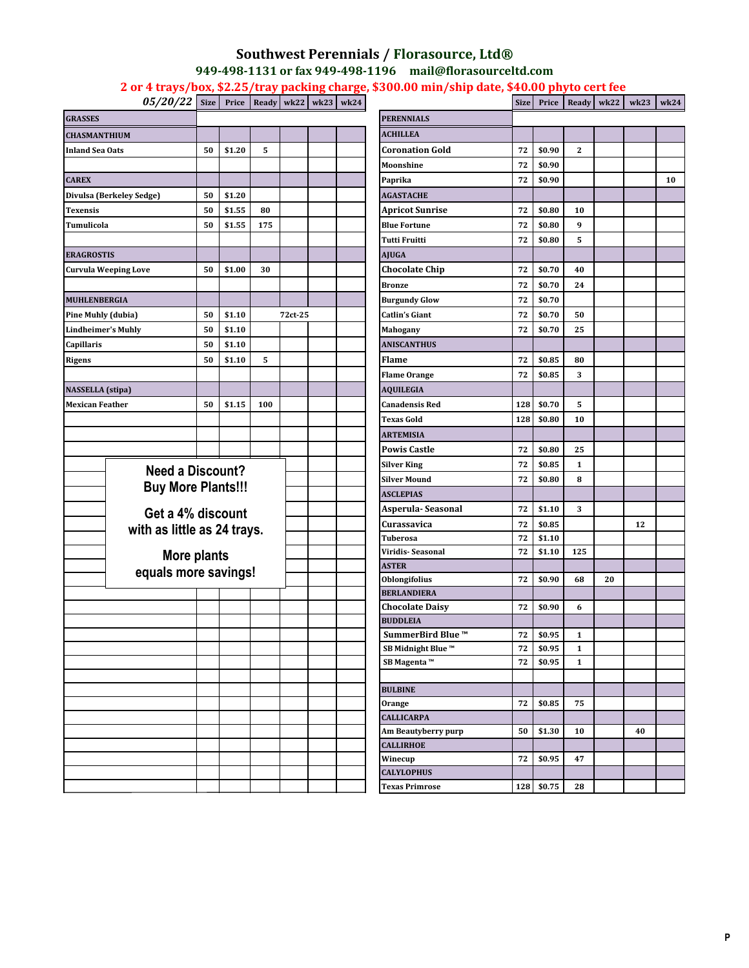## **Southwest Perennials / Florasource, Ltd® 949-498-1131 or fax 949-498-1196 mail@florasourceltd.com 2 or 4 trays/box, \$2.25/tray packing charge, \$300.00 min/ship date, \$40.00 phyto cert fee**

*05/20/22* **Size Price Ready wk22 wk23 wk24 Size Price Ready wk22 wk23 wk24**

| <b>GRASSES</b>                                    |                                 |    |        |     |                     | <b>PERENNIALS</b>                   |          |                  |              |    |    |  |
|---------------------------------------------------|---------------------------------|----|--------|-----|---------------------|-------------------------------------|----------|------------------|--------------|----|----|--|
| <b>CHASMANTHIUM</b>                               |                                 |    |        |     |                     | <b>ACHILLEA</b>                     |          |                  |              |    |    |  |
| <b>Inland Sea Oats</b>                            |                                 | 50 | \$1.20 | 5   |                     | <b>Coronation Gold</b>              | 72       | \$0.90           | 2            |    |    |  |
|                                                   |                                 |    |        |     |                     | Moonshine                           | 72       | \$0.90           |              |    |    |  |
| <b>CAREX</b>                                      |                                 |    |        |     |                     | Paprika                             | 72       | \$0.90           |              |    |    |  |
|                                                   | <b>Divulsa (Berkeley Sedge)</b> | 50 | \$1.20 |     |                     | <b>AGASTACHE</b>                    |          |                  |              |    |    |  |
| <b>Texensis</b>                                   |                                 | 50 | \$1.55 | 80  |                     | <b>Apricot Sunrise</b>              | 72       | \$0.80           | 10           |    |    |  |
| Tumulicola                                        |                                 | 50 | \$1.55 | 175 |                     | <b>Blue Fortune</b>                 | 72       | \$0.80           | 9            |    |    |  |
|                                                   |                                 |    |        |     |                     | <b>Tutti Fruitti</b>                | 72       | \$0.80           | 5            |    |    |  |
| <b>ERAGROSTIS</b>                                 |                                 |    |        |     |                     | <b>AJUGA</b>                        |          |                  |              |    |    |  |
| <b>Curvula Weeping Love</b>                       |                                 | 50 | \$1.00 | 30  |                     | <b>Chocolate Chip</b>               | 72       | \$0.70           | 40           |    |    |  |
|                                                   |                                 |    |        |     |                     | <b>Bronze</b>                       | 72       | \$0.70           | 24           |    |    |  |
| MUHLENBERGIA                                      |                                 |    |        |     |                     | <b>Burgundy Glow</b>                | 72       | \$0.70           |              |    |    |  |
| <b>Pine Muhly (dubia)</b>                         |                                 | 50 | \$1.10 |     | 72ct-25             | <b>Catlin's Giant</b>               | 72       | \$0.70           | 50           |    |    |  |
| <b>Lindheimer's Muhly</b>                         |                                 | 50 | \$1.10 |     |                     | <b>Mahogany</b>                     | 72       | \$0.70           | 25           |    |    |  |
| Capillaris                                        |                                 | 50 | \$1.10 |     |                     | <b>ANISCANTHUS</b>                  |          |                  |              |    |    |  |
| <b>Rigens</b>                                     |                                 | 50 | \$1.10 | 5   |                     | <b>Flame</b>                        | 72       | \$0.85           | 80           |    |    |  |
|                                                   |                                 |    |        |     |                     | <b>Flame Orange</b>                 | 72       | \$0.85           | 3            |    |    |  |
|                                                   |                                 |    |        |     |                     | <b>AQUILEGIA</b>                    |          |                  |              |    |    |  |
| <b>NASSELLA</b> (stipa)<br><b>Mexican Feather</b> |                                 | 50 | \$1.15 | 100 |                     | <b>Canadensis Red</b>               | 128      | \$0.70           | 5            |    |    |  |
|                                                   |                                 |    |        |     |                     | <b>Texas Gold</b>                   | 128      | \$0.80           | 10           |    |    |  |
|                                                   |                                 |    |        |     |                     | <b>ARTEMISIA</b>                    |          |                  |              |    |    |  |
|                                                   |                                 |    |        |     |                     | <b>Powis Castle</b>                 |          | \$0.80           |              |    |    |  |
|                                                   |                                 |    |        |     |                     |                                     | 72       |                  | 25           |    |    |  |
|                                                   | <b>Need a Discount?</b>         |    |        |     |                     | <b>Silver King</b>                  | 72       | \$0.85           | $\mathbf{1}$ |    |    |  |
| <b>Buy More Plants!!!</b>                         |                                 |    |        |     | <b>Silver Mound</b> | 72                                  | \$0.80   | 8                |              |    |    |  |
| Get a 4% discount<br>with as little as 24 trays.  |                                 |    |        |     |                     | <b>ASCLEPIAS</b>                    |          |                  |              |    |    |  |
|                                                   |                                 |    |        |     |                     | Asperula-Seasonal                   | 72       | \$1.10           | 3            |    |    |  |
|                                                   |                                 |    |        |     |                     | Curassavica                         | 72       | \$0.85           |              |    | 12 |  |
|                                                   |                                 |    |        |     |                     | <b>Tuberosa</b><br>Viridis-Seasonal | 72<br>72 | \$1.10<br>\$1.10 | 125          |    |    |  |
|                                                   | More plants                     |    |        |     |                     | <b>ASTER</b>                        |          |                  |              |    |    |  |
|                                                   | equals more savings!            |    |        |     |                     | <b>Oblongifolius</b>                | 72       | \$0.90           | 68           | 20 |    |  |
|                                                   |                                 |    |        |     |                     | <b>BERLANDIERA</b>                  |          |                  |              |    |    |  |
|                                                   |                                 |    |        |     |                     | <b>Chocolate Daisy</b>              | 72       | \$0.90           | 6            |    |    |  |
|                                                   |                                 |    |        |     |                     | <b>BUDDLEIA</b>                     |          |                  |              |    |    |  |
|                                                   |                                 |    |        |     |                     | SummerBird Blue ™                   | 72       | \$0.95           | 1            |    |    |  |
|                                                   |                                 |    |        |     |                     | SB Midnight Blue ™                  | 72       | \$0.95           | $\mathbf{1}$ |    |    |  |
|                                                   |                                 |    |        |     |                     | SB Magenta ™                        | 72       | \$0.95           | $\mathbf{1}$ |    |    |  |
|                                                   |                                 |    |        |     |                     |                                     |          |                  |              |    |    |  |
|                                                   |                                 |    |        |     |                     | <b>BULBINE</b>                      |          |                  |              |    |    |  |
|                                                   |                                 |    |        |     |                     | Orange                              | 72       | \$0.85           | 75           |    |    |  |
|                                                   |                                 |    |        |     |                     | <b>CALLICARPA</b>                   |          |                  |              |    |    |  |
|                                                   |                                 |    |        |     |                     | Am Beautyberry purp                 | 50       | \$1.30           | 10           |    | 40 |  |
|                                                   |                                 |    |        |     |                     | <b>CALLIRHOE</b>                    |          |                  |              |    |    |  |
|                                                   |                                 |    |        |     |                     | Winecup                             | 72       | \$0.95           | 47           |    |    |  |
|                                                   |                                 |    |        |     |                     | <b>CALYLOPHUS</b>                   |          |                  |              |    |    |  |
|                                                   |                                 |    |        |     |                     | <b>Texas Primrose</b>               | 128      | \$0.75           | 28           |    |    |  |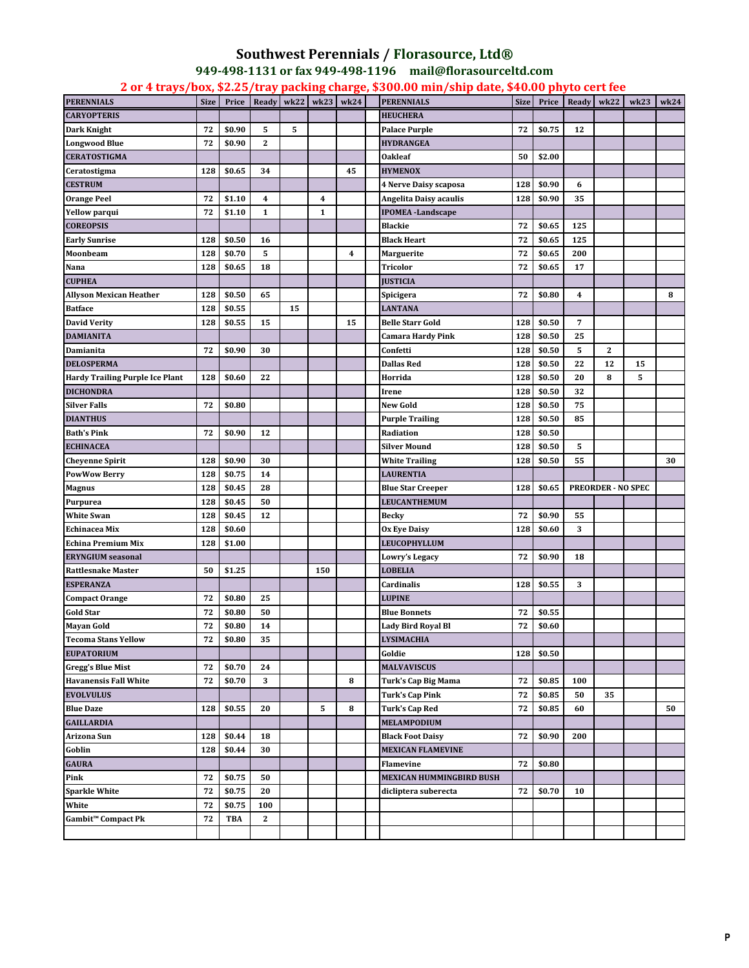## **Southwest Perennials / Florasource, Ltd® 949-498-1131 or fax 949-498-1196 mail@florasourceltd.com**

**2 or 4 trays/box, \$2.25/tray packing charge, \$300.00 min/ship date, \$40.00 phyto cert fee** 

| <b>PERENNIALS</b>                      | <b>Size</b> | Price      | Ready          | wk22 | wk23         | wk24 | <b>PERENNIALS</b>         | <b>Size</b> | Price  | Ready | wk22                      | wk23 | wk24 |
|----------------------------------------|-------------|------------|----------------|------|--------------|------|---------------------------|-------------|--------|-------|---------------------------|------|------|
| CARYOPTERIS                            |             |            |                |      |              |      | <b>HEUCHERA</b>           |             |        |       |                           |      |      |
| Dark Knight                            | 72          | \$0.90     | 5              | 5    |              |      | <b>Palace Purple</b>      | 72          | \$0.75 | 12    |                           |      |      |
| Longwood Blue                          | 72          | \$0.90     | $\overline{2}$ |      |              |      | <b>HYDRANGEA</b>          |             |        |       |                           |      |      |
| <b>CERATOSTIGMA</b>                    |             |            |                |      |              |      | <b>Oakleaf</b>            | 50          | \$2.00 |       |                           |      |      |
| Ceratostigma                           | 128         | \$0.65     | 34             |      |              | 45   | <b>HYMENOX</b>            |             |        |       |                           |      |      |
| <b>CESTRUM</b>                         |             |            |                |      |              |      | 4 Nerve Daisy scaposa     | 128         | \$0.90 | 6     |                           |      |      |
| <b>Orange Peel</b>                     | 72          | \$1.10     | 4              |      | 4            |      | Angelita Daisy acaulis    | 128         | \$0.90 | 35    |                           |      |      |
| Yellow parqui                          | 72          | \$1.10     | $\mathbf{1}$   |      | $\mathbf{1}$ |      | <b>IPOMEA</b> - Landscape |             |        |       |                           |      |      |
| <b>COREOPSIS</b>                       |             |            |                |      |              |      |                           | 72          |        |       |                           |      |      |
|                                        |             |            |                |      |              |      | <b>Blackie</b>            |             | \$0.65 | 125   |                           |      |      |
| Early Sunrise                          | 128         | \$0.50     | 16             |      |              |      | <b>Black Heart</b>        | 72          | \$0.65 | 125   |                           |      |      |
| Moonbeam                               | 128         | \$0.70     | 5              |      |              | 4    | Marguerite                | 72          | \$0.65 | 200   |                           |      |      |
| Nana                                   | 128         | \$0.65     | 18             |      |              |      | Tricolor                  | 72          | \$0.65 | 17    |                           |      |      |
| <b>CUPHEA</b>                          |             |            |                |      |              |      | <b>JUSTICIA</b>           |             |        |       |                           |      |      |
| Allyson Mexican Heather                | 128         | \$0.50     | 65             |      |              |      | Spicigera                 | 72          | \$0.80 | 4     |                           |      | 8    |
| <b>Batface</b>                         | 128         | \$0.55     |                | 15   |              |      | <b>LANTANA</b>            |             |        |       |                           |      |      |
| <b>David Verity</b>                    | 128         | \$0.55     | 15             |      |              | 15   | <b>Belle Starr Gold</b>   | 128         | \$0.50 | 7     |                           |      |      |
| DAMIANITA                              |             |            |                |      |              |      | Camara Hardy Pink         | 128         | \$0.50 | 25    |                           |      |      |
| Damianita                              | 72          | \$0.90     | 30             |      |              |      | Confetti                  | 128         | \$0.50 | 5     | $\mathbf{2}$              |      |      |
| <b>DELOSPERMA</b>                      |             |            |                |      |              |      | <b>Dallas Red</b>         | 128         | \$0.50 | 22    | 12                        | 15   |      |
| <b>Hardy Trailing Purple Ice Plant</b> | 128         | \$0.60     | 22             |      |              |      | Horrida                   | 128         | \$0.50 | 20    | 8                         | 5    |      |
| <b>DICHONDRA</b>                       |             |            |                |      |              |      | Irene                     | 128         | \$0.50 | 32    |                           |      |      |
| Silver Falls                           | 72          | \$0.80     |                |      |              |      | <b>New Gold</b>           | 128         | \$0.50 | 75    |                           |      |      |
| <b>DIANTHUS</b>                        |             |            |                |      |              |      | <b>Purple Trailing</b>    | 128         | \$0.50 | 85    |                           |      |      |
| <b>Bath's Pink</b>                     | 72          | \$0.90     | 12             |      |              |      | Radiation                 | 128         | \$0.50 |       |                           |      |      |
| <b>ECHINACEA</b>                       |             |            |                |      |              |      | <b>Silver Mound</b>       | 128         | \$0.50 | 5     |                           |      |      |
| Cheyenne Spirit                        | 128         | \$0.90     | 30             |      |              |      | <b>White Trailing</b>     | 128         | \$0.50 | 55    |                           |      | 30   |
| <b>PowWow Berry</b>                    | 128         | \$0.75     | 14             |      |              |      | <b>LAURENTIA</b>          |             |        |       |                           |      |      |
| Magnus                                 | 128         | \$0.45     | 28             |      |              |      | <b>Blue Star Creeper</b>  | 128         | \$0.65 |       | <b>PREORDER - NO SPEC</b> |      |      |
| Purpurea                               | 128         | \$0.45     | 50             |      |              |      | LEUCANTHEMUM              |             |        |       |                           |      |      |
| White Swan                             | 128         | \$0.45     | 12             |      |              |      | <b>Becky</b>              | 72          | \$0.90 | 55    |                           |      |      |
| Echinacea Mix                          | 128         | \$0.60     |                |      |              |      | <b>Ox Eye Daisy</b>       | 128         | \$0.60 | 3     |                           |      |      |
| Echina Premium Mix                     | 128         | \$1.00     |                |      |              |      | LEUCOPHYLLUM              |             |        |       |                           |      |      |
| <b>ERYNGIUM</b> seasonal               |             |            |                |      |              |      | Lowry's Legacy            | 72          | \$0.90 | 18    |                           |      |      |
| <b>Rattlesnake Master</b>              | 50          | \$1.25     |                |      | 150          |      | <b>LOBELIA</b>            |             |        |       |                           |      |      |
| <b>ESPERANZA</b>                       |             |            |                |      |              |      | Cardinalis                | 128         | \$0.55 | 3     |                           |      |      |
| <b>Compact Orange</b>                  | 72          | \$0.80     | 25             |      |              |      | <b>LUPINE</b>             |             |        |       |                           |      |      |
| <b>Gold Star</b>                       | 72          | \$0.80     | 50             |      |              |      | <b>Blue Bonnets</b>       | 72          | \$0.55 |       |                           |      |      |
| <b>Mayan Gold</b>                      | 72          | \$0.80     | 14             |      |              |      | <b>Lady Bird Royal Bl</b> | 72          | \$0.60 |       |                           |      |      |
| <b>Tecoma Stans Yellow</b>             | 72          | \$0.80     | 35             |      |              |      | <b>LYSIMACHIA</b>         |             |        |       |                           |      |      |
| <b>EUPATORIUM</b>                      |             |            |                |      |              |      | Goldie                    | 128         | \$0.50 |       |                           |      |      |
| <b>Gregg's Blue Mist</b>               | 72          | \$0.70     | 24             |      |              |      | <b>MALVAVISCUS</b>        |             |        |       |                           |      |      |
| <b>Havanensis Fall White</b>           | 72          | \$0.70     | 3              |      |              | 8    | Turk's Cap Big Mama       | 72          | \$0.85 | 100   |                           |      |      |
|                                        |             |            |                |      |              |      |                           |             |        |       |                           |      |      |
| <b>EVOLVULUS</b>                       |             |            |                |      |              |      | <b>Turk's Cap Pink</b>    | 72          | \$0.85 | 50    | 35                        |      |      |
| <b>Blue Daze</b>                       | 128         | \$0.55     | 20             |      | 5            | 8    | <b>Turk's Cap Red</b>     | 72          | \$0.85 | 60    |                           |      | 50   |
| <b>GAILLARDIA</b>                      |             |            |                |      |              |      | MELAMPODIUM               |             |        |       |                           |      |      |
| Arizona Sun                            | 128         | \$0.44     | 18             |      |              |      | <b>Black Foot Daisy</b>   | 72          | \$0.90 | 200   |                           |      |      |
| Goblin                                 | 128         | \$0.44     | 30             |      |              |      | <b>MEXICAN FLAMEVINE</b>  |             |        |       |                           |      |      |
| <b>GAURA</b>                           |             |            |                |      |              |      | Flamevine                 | 72          | \$0.80 |       |                           |      |      |
| Pink                                   | 72          | \$0.75     | 50             |      |              |      | MEXICAN HUMMINGBIRD BUSH  |             |        |       |                           |      |      |
| <b>Sparkle White</b>                   | 72          | \$0.75     | 20             |      |              |      | dicliptera suberecta      | 72          | \$0.70 | 10    |                           |      |      |
| White                                  | 72          | \$0.75     | 100            |      |              |      |                           |             |        |       |                           |      |      |
| Gambit <sup>™</sup> Compact Pk         | 72          | <b>TBA</b> | $\mathbf{2}$   |      |              |      |                           |             |        |       |                           |      |      |
|                                        |             |            |                |      |              |      |                           |             |        |       |                           |      |      |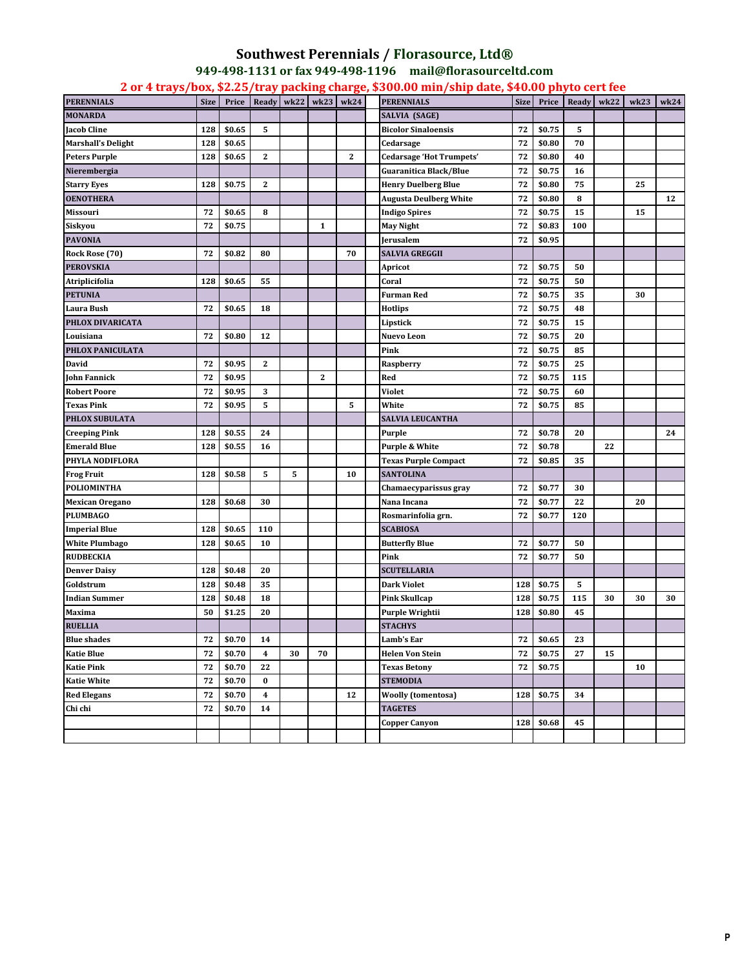## **Southwest Perennials / Florasource, Ltd® 949-498-1131 or fax 949-498-1196 mail@florasourceltd.com**

**2 or 4 trays/box, \$2.25/tray packing charge, \$300.00 min/ship date, \$40.00 phyto cert fee** 

| <b>PERENNIALS</b>         | <b>Size</b> | Price  | Ready        | wk22 | wk23         | wk24         | <b>PERENNIALS</b>               | <b>Size</b> | Price    | Ready | wk22 | wk23 | wk24 |
|---------------------------|-------------|--------|--------------|------|--------------|--------------|---------------------------------|-------------|----------|-------|------|------|------|
| <b>MONARDA</b>            |             |        |              |      |              |              | SALVIA (SAGE)                   |             |          |       |      |      |      |
| Jacob Cline               | 128         | \$0.65 | 5            |      |              |              | <b>Bicolor Sinaloensis</b>      | 72          | \$0.75   | 5     |      |      |      |
| <b>Marshall's Delight</b> | 128         | \$0.65 |              |      |              |              | Cedarsage                       | 72          | \$0.80   | 70    |      |      |      |
| <b>Peters Purple</b>      | 128         | \$0.65 | $\mathbf{2}$ |      |              | $\mathbf{2}$ | <b>Cedarsage 'Hot Trumpets'</b> | 72          | \$0.80   | 40    |      |      |      |
| Nierembergia              |             |        |              |      |              |              | <b>Guaranitica Black/Blue</b>   | 72          | \$0.75   | 16    |      |      |      |
| <b>Starry Eyes</b>        | 128         | \$0.75 | $\mathbf{2}$ |      |              |              | <b>Henry Duelberg Blue</b>      | 72          | \$0.80   | 75    |      | 25   |      |
| <b>OENOTHERA</b>          |             |        |              |      |              |              | <b>Augusta Deulberg White</b>   | 72          | \$0.80   | 8     |      |      | 12   |
| Missouri                  | 72          | \$0.65 | 8            |      |              |              | <b>Indigo Spires</b>            | 72          | \$0.75   | 15    |      | 15   |      |
| Siskyou                   | 72          | \$0.75 |              |      | 1            |              | May Night                       | 72          | \$0.83   | 100   |      |      |      |
| <b>PAVONIA</b>            |             |        |              |      |              |              | <b>Jerusalem</b>                | 72          | \$0.95   |       |      |      |      |
| Rock Rose (70)            | 72          | \$0.82 | 80           |      |              | 70           | SALVIA GREGGII                  |             |          |       |      |      |      |
| <b>PEROVSKIA</b>          |             |        |              |      |              |              | Apricot                         | 72          | \$0.75   | 50    |      |      |      |
| Atriplicifolia            | 128         | \$0.65 | 55           |      |              |              | Coral                           | 72          | \$0.75   | 50    |      |      |      |
| <b>PETUNIA</b>            |             |        |              |      |              |              | <b>Furman Red</b>               | 72          | \$0.75   | 35    |      | 30   |      |
| Laura Bush                | 72          | \$0.65 | 18           |      |              |              | Hotlips                         | 72          | \$0.75   | 48    |      |      |      |
| PHLOX DIVARICATA          |             |        |              |      |              |              | Lipstick                        | 72          | \$0.75   | 15    |      |      |      |
| Louisiana                 | 72          | \$0.80 | 12           |      |              |              | Nuevo Leon                      | 72          | \$0.75   | 20    |      |      |      |
| PHLOX PANICULATA          |             |        |              |      |              |              | Pink                            | 72          | \$0.75   | 85    |      |      |      |
| David                     | 72          | \$0.95 | $\mathbf{2}$ |      |              |              | Raspberry                       | 72          | \$0.75   | 25    |      |      |      |
| John Fannick              | 72          | \$0.95 |              |      | $\mathbf{z}$ |              | Red                             | 72          | \$0.75   | 115   |      |      |      |
| <b>Robert Poore</b>       | 72          | \$0.95 | 3            |      |              |              | Violet                          | 72          | \$0.75   | 60    |      |      |      |
| <b>Texas Pink</b>         | 72          | \$0.95 | 5            |      |              | 5            | White                           | 72          | \$0.75   | 85    |      |      |      |
| PHLOX SUBULATA            |             |        |              |      |              |              | SALVIA LEUCANTHA                |             |          |       |      |      |      |
| <b>Creeping Pink</b>      | 128         | \$0.55 | 24           |      |              |              | Purple                          | 72          | \$0.78   | 20    |      |      | 24   |
| <b>Emerald Blue</b>       | 128         | \$0.55 | 16           |      |              |              | Purple & White                  | 72          | \$0.78   |       | 22   |      |      |
| PHYLA NODIFLORA           |             |        |              |      |              |              | <b>Texas Purple Compact</b>     | 72          | \$0.85   | 35    |      |      |      |
| <b>Frog Fruit</b>         | 128         | \$0.58 | 5            | 5    |              | 10           | <b>SANTOLINA</b>                |             |          |       |      |      |      |
| POLIOMINTHA               |             |        |              |      |              |              | Chamaecyparissus gray           | 72          | \$0.77   | 30    |      |      |      |
| <b>Mexican Oregano</b>    | 128         | \$0.68 | 30           |      |              |              | Nana Incana                     | 72          | \$0.77   | 22    |      | 20   |      |
| <b>PLUMBAGO</b>           |             |        |              |      |              |              | Rosmarinfolia grn.              | 72          | \$0.77   | 120   |      |      |      |
| <b>Imperial Blue</b>      | 128         | \$0.65 | 110          |      |              |              | <b>SCABIOSA</b>                 |             |          |       |      |      |      |
| <b>White Plumbago</b>     | 128         | \$0.65 | 10           |      |              |              | <b>Butterfly Blue</b>           | 72          | \$0.77   | 50    |      |      |      |
| <b>RUDBECKIA</b>          |             |        |              |      |              |              | Pink                            | 72          | \$0.77   | 50    |      |      |      |
| <b>Denver Daisy</b>       | 128         | \$0.48 | 20           |      |              |              | <b>SCUTELLARIA</b>              |             |          |       |      |      |      |
| Goldstrum                 | 128         | \$0.48 | 35           |      |              |              | Dark Violet                     | 128         | \$0.75   | 5     |      |      |      |
| Indian Summer             | 128         | \$0.48 | 18           |      |              |              | Pink Skullcap                   | 128         | \$0.75   | 115   | 30   | 30   | 30   |
| Maxima                    | 50          | \$1.25 | 20           |      |              |              | Purple Wrightii                 | 128         | \$0.80   | 45    |      |      |      |
| <b>RUELLIA</b>            |             |        |              |      |              |              | <b>STACHYS</b>                  |             |          |       |      |      |      |
| <b>Blue shades</b>        | 72          | \$0.70 | 14           |      |              |              | Lamb's Ear                      | ${\bf 72}$  | $\$0.65$ | 23    |      |      |      |
| <b>Katie Blue</b>         | 72          | \$0.70 | 4            | 30   | 70           |              | <b>Helen Von Stein</b>          | 72          | \$0.75   | 27    | 15   |      |      |
| <b>Katie Pink</b>         | 72          | \$0.70 | 22           |      |              |              | <b>Texas Betony</b>             | 72          | \$0.75   |       |      | 10   |      |
| <b>Katie White</b>        | 72          | \$0.70 | $\bf{0}$     |      |              |              | <b>STEMODIA</b>                 |             |          |       |      |      |      |
| <b>Red Elegans</b>        | 72          | \$0.70 | 4            |      |              | 12           | <b>Woolly (tomentosa)</b>       | 128         | \$0.75   | 34    |      |      |      |
| Chi chi                   | 72          | \$0.70 | 14           |      |              |              | TAGETES                         |             |          |       |      |      |      |
|                           |             |        |              |      |              |              | <b>Copper Canyon</b>            | 128         | \$0.68   | 45    |      |      |      |
|                           |             |        |              |      |              |              |                                 |             |          |       |      |      |      |